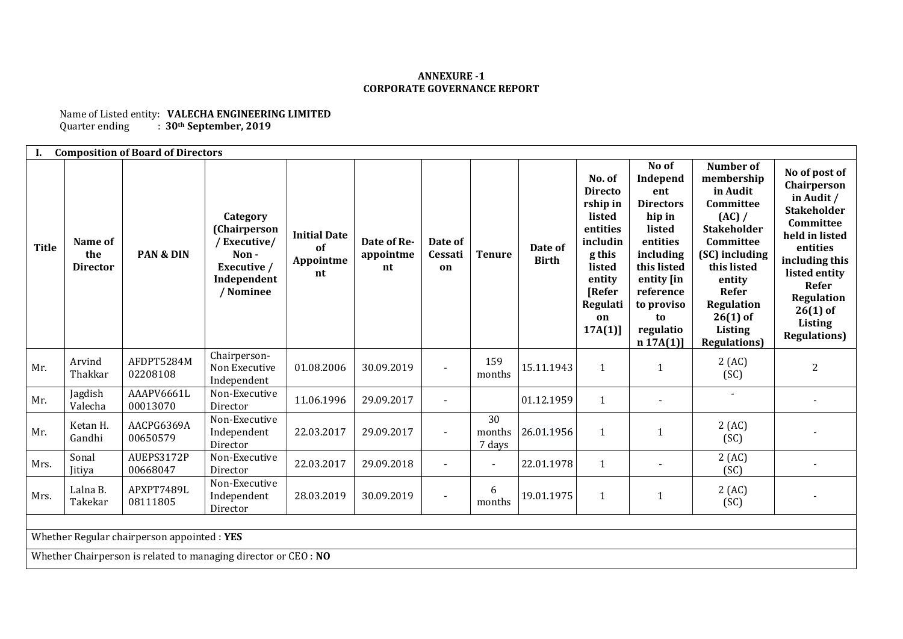## **ANNEXURE -1 CORPORATE GOVERNANCE REPORT**

Name of Listed entity: **VALECHA ENGINEERING LIMITED**<br>Quarter ending : 30<sup>th</sup> September, 2019 Quarter ending : **30th September, 2019**

| <b>Composition of Board of Directors</b>    |                                                                 |                        |                                                                                            |                                              |                                |                          |                        |                         |                                                                                                                                                   |                                                                                                                                                                                  |                                                                                                                                                                                                                         |                                                                                                                                                                                                                                      |
|---------------------------------------------|-----------------------------------------------------------------|------------------------|--------------------------------------------------------------------------------------------|----------------------------------------------|--------------------------------|--------------------------|------------------------|-------------------------|---------------------------------------------------------------------------------------------------------------------------------------------------|----------------------------------------------------------------------------------------------------------------------------------------------------------------------------------|-------------------------------------------------------------------------------------------------------------------------------------------------------------------------------------------------------------------------|--------------------------------------------------------------------------------------------------------------------------------------------------------------------------------------------------------------------------------------|
| <b>Title</b>                                | Name of<br>the<br><b>Director</b>                               | PAN & DIN              | Category<br>(Chairperson<br>/Executive/<br>Non-<br>Executive /<br>Independent<br>/ Nominee | <b>Initial Date</b><br>of<br>Appointme<br>nt | Date of Re-<br>appointme<br>nt | Date of<br>Cessati<br>on | <b>Tenure</b>          | Date of<br><b>Birth</b> | No. of<br><b>Directo</b><br>rship in<br>listed<br>entities<br>includin<br>g this<br>listed<br>entity<br><b>[Refer</b><br>Regulati<br>on<br>17A(1) | No of<br>Independ<br>ent<br><b>Directors</b><br>hip in<br>listed<br>entities<br>including<br>this listed<br>entity [in<br>reference<br>to proviso<br>to<br>regulatio<br>n 17A(1) | Number of<br>membership<br>in Audit<br>Committee<br>(AC) /<br><b>Stakeholder</b><br>Committee<br>(SC) including<br>this listed<br>entity<br>Refer<br><b>Regulation</b><br>$26(1)$ of<br>Listing<br><b>Regulations</b> ) | No of post of<br>Chairperson<br>in Audit /<br><b>Stakeholder</b><br>Committee<br>held in listed<br>entities<br>including this<br>listed entity<br>Refer<br><b>Regulation</b><br>$26(1)$ of<br><b>Listing</b><br><b>Regulations</b> ) |
| Mr.                                         | Arvind<br>Thakkar                                               | AFDPT5284M<br>02208108 | Chairperson-<br>Non Executive<br>Independent                                               | 01.08.2006                                   | 30.09.2019                     | $\sim$                   | 159<br>months          | 15.11.1943              | $\mathbf{1}$                                                                                                                                      | 1                                                                                                                                                                                | 2(AC)<br>(SC)                                                                                                                                                                                                           | 2                                                                                                                                                                                                                                    |
| Mr.                                         | Jagdish<br>Valecha                                              | AAAPV6661L<br>00013070 | Non-Executive<br>Director                                                                  | 11.06.1996                                   | 29.09.2017                     |                          |                        | 01.12.1959              | $\mathbf{1}$                                                                                                                                      |                                                                                                                                                                                  |                                                                                                                                                                                                                         |                                                                                                                                                                                                                                      |
| Mr.                                         | Ketan H.<br>Gandhi                                              | AACPG6369A<br>00650579 | Non-Executive<br>Independent<br>Director                                                   | 22.03.2017                                   | 29.09.2017                     |                          | 30<br>months<br>7 days | 26.01.1956              | $\mathbf{1}$                                                                                                                                      | 1                                                                                                                                                                                | 2(AC)<br>(SC)                                                                                                                                                                                                           |                                                                                                                                                                                                                                      |
| Mrs.                                        | Sonal<br>Jitiya                                                 | AUEPS3172P<br>00668047 | Non-Executive<br>Director                                                                  | 22.03.2017                                   | 29.09.2018                     |                          | $\blacksquare$         | 22.01.1978              | $\mathbf{1}$                                                                                                                                      |                                                                                                                                                                                  | 2(AC)<br>(SC)                                                                                                                                                                                                           |                                                                                                                                                                                                                                      |
| Mrs.                                        | Lalna B.<br>Takekar                                             | APXPT7489L<br>08111805 | Non-Executive<br>Independent<br>Director                                                   | 28.03.2019                                   | 30.09.2019                     |                          | 6<br>months            | 19.01.1975              | $\mathbf{1}$                                                                                                                                      | $\mathbf{1}$                                                                                                                                                                     | 2(AC)<br>(SC)                                                                                                                                                                                                           |                                                                                                                                                                                                                                      |
|                                             |                                                                 |                        |                                                                                            |                                              |                                |                          |                        |                         |                                                                                                                                                   |                                                                                                                                                                                  |                                                                                                                                                                                                                         |                                                                                                                                                                                                                                      |
| Whether Regular chairperson appointed : YES |                                                                 |                        |                                                                                            |                                              |                                |                          |                        |                         |                                                                                                                                                   |                                                                                                                                                                                  |                                                                                                                                                                                                                         |                                                                                                                                                                                                                                      |
|                                             | Whether Chairperson is related to managing director or CEO : NO |                        |                                                                                            |                                              |                                |                          |                        |                         |                                                                                                                                                   |                                                                                                                                                                                  |                                                                                                                                                                                                                         |                                                                                                                                                                                                                                      |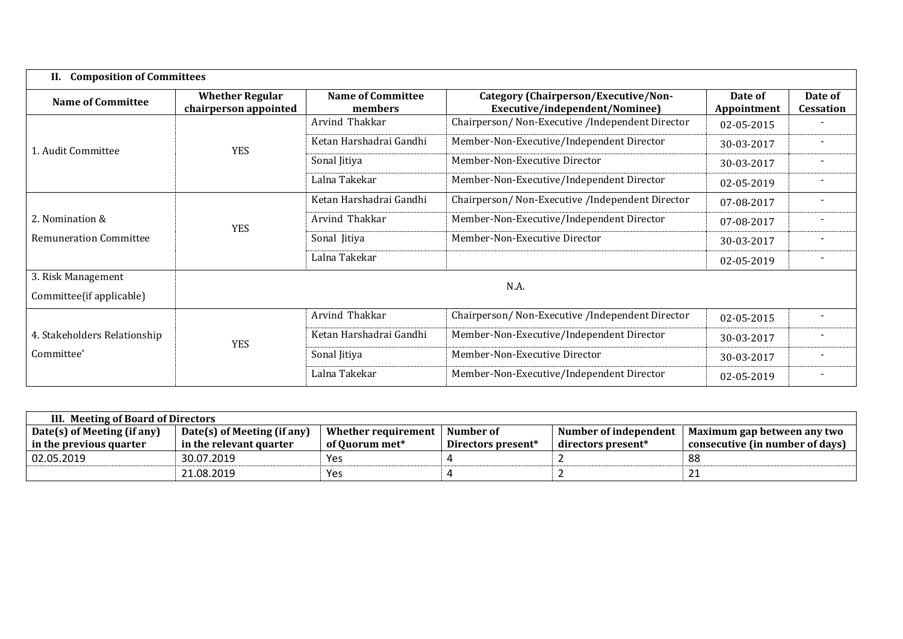| <b>Composition of Committees</b><br>II.        |                                                 |                                     |                                                                        |                        |                      |  |  |
|------------------------------------------------|-------------------------------------------------|-------------------------------------|------------------------------------------------------------------------|------------------------|----------------------|--|--|
| <b>Name of Committee</b>                       | <b>Whether Regular</b><br>chairperson appointed | <b>Name of Committee</b><br>members | Category (Chairperson/Executive/Non-<br>Executive/independent/Nominee) | Date of<br>Appointment | Date of<br>Cessation |  |  |
|                                                | <b>YES</b>                                      | Arvind Thakkar                      | Chairperson/ Non-Executive /Independent Director                       | 02-05-2015             |                      |  |  |
| 1. Audit Committee                             |                                                 | Ketan Harshadrai Gandhi             | Member-Non-Executive/Independent Director                              | 30-03-2017             |                      |  |  |
|                                                |                                                 | Sonal Jitiya                        | Member-Non-Executive Director                                          | 30-03-2017             |                      |  |  |
|                                                |                                                 | Lalna Takekar                       | Member-Non-Executive/Independent Director                              | 02-05-2019             |                      |  |  |
|                                                | <b>YES</b>                                      | Ketan Harshadrai Gandhi             | Chairperson/ Non-Executive /Independent Director                       | 07-08-2017             |                      |  |  |
| 2. Nomination &                                |                                                 | Arvind Thakkar                      | Member-Non-Executive/Independent Director                              | 07-08-2017             |                      |  |  |
| <b>Remuneration Committee</b>                  |                                                 | Sonal Jitiya                        | Member-Non-Executive Director                                          | 30-03-2017             |                      |  |  |
|                                                |                                                 | Lalna Takekar                       |                                                                        | 02-05-2019             |                      |  |  |
| 3. Risk Management<br>Committee(if applicable) |                                                 |                                     | N.A.                                                                   |                        |                      |  |  |
|                                                |                                                 | Arvind Thakkar                      | Chairperson/ Non-Executive /Independent Director                       | 02-05-2015             |                      |  |  |
| 4. Stakeholders Relationship                   | <b>YES</b>                                      | Ketan Harshadrai Gandhi             | Member-Non-Executive/Independent Director                              | 30-03-2017             |                      |  |  |
| Committee'                                     |                                                 | Sonal Jitiya                        | Member-Non-Executive Director                                          | 30-03-2017             |                      |  |  |
|                                                |                                                 | Lalna Takekar                       | Member-Non-Executive/Independent Director                              |                        |                      |  |  |

| III. Meeting of Board of Directors                         |                         |                                  |                    |                       |                                 |  |  |  |
|------------------------------------------------------------|-------------------------|----------------------------------|--------------------|-----------------------|---------------------------------|--|--|--|
| Date(s) of Meeting (if any)<br>Date(s) of Meeting (if any) |                         | Whether requirement<br>Number of |                    | Number of independent | Maximum gap between any two     |  |  |  |
| in the previous quarter                                    | in the relevant quarter | of Ouorum met*                   | Directors present* | directors present $*$ | consecutive (in number of days) |  |  |  |
| 02.05.2019                                                 | 30.07.2019              | Yes                              |                    |                       | 88                              |  |  |  |
|                                                            | 21.08.2019              | Yes                              |                    |                       | 21                              |  |  |  |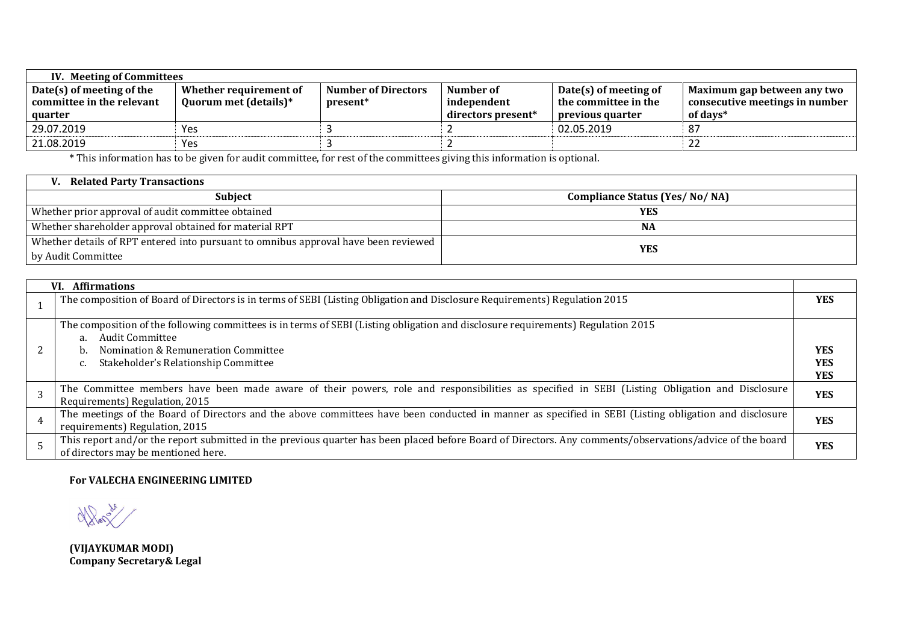| IV. Meeting of Committees   |                        |                            |                    |                       |                                |  |  |  |
|-----------------------------|------------------------|----------------------------|--------------------|-----------------------|--------------------------------|--|--|--|
| $Date(s)$ of meeting of the | Whether requirement of | <b>Number of Directors</b> | Number of          | Date(s) of meeting of | Maximum gap between any two    |  |  |  |
| committee in the relevant   | Quorum met (details)*  | present*                   | independent        | the committee in the  | consecutive meetings in number |  |  |  |
| quarter                     |                        |                            | directors present* | previous quarter      | of days*                       |  |  |  |
| 29.07.2019                  | Yes                    |                            |                    | 02.05.2019            | 87                             |  |  |  |
| 21.08.2019                  | Yes                    |                            |                    |                       | 22                             |  |  |  |

**\*** This information has to be given for audit committee, for rest of the committees giving this information is optional.

| <b>Related Party Transactions</b>                                                   |                                      |
|-------------------------------------------------------------------------------------|--------------------------------------|
| <b>Subject</b>                                                                      | <b>Compliance Status (Yes/No/NA)</b> |
| Whether prior approval of audit committee obtained                                  | YES                                  |
| Whether shareholder approval obtained for material RPT                              | <b>NA</b>                            |
| Whether details of RPT entered into pursuant to omnibus approval have been reviewed | YES                                  |
| by Audit Committee                                                                  |                                      |

| VI. Affirmations                                                                                                                                                                                |            |
|-------------------------------------------------------------------------------------------------------------------------------------------------------------------------------------------------|------------|
| The composition of Board of Directors is in terms of SEBI (Listing Obligation and Disclosure Requirements) Regulation 2015                                                                      | <b>YES</b> |
| The composition of the following committees is in terms of SEBI (Listing obligation and disclosure requirements) Regulation 2015<br>Audit Committee<br>a.                                       |            |
| Nomination & Remuneration Committee<br>b.                                                                                                                                                       | <b>YES</b> |
| Stakeholder's Relationship Committee                                                                                                                                                            | <b>YES</b> |
|                                                                                                                                                                                                 | <b>YES</b> |
| The Committee members have been made aware of their powers, role and responsibilities as specified in SEBI (Listing Obligation and Disclosure<br>Requirements) Regulation, 2015                 | <b>YES</b> |
| The meetings of the Board of Directors and the above committees have been conducted in manner as specified in SEBI (Listing obligation and disclosure<br>requirements) Regulation, 2015         | <b>YES</b> |
| This report and/or the report submitted in the previous quarter has been placed before Board of Directors. Any comments/observations/advice of the board<br>of directors may be mentioned here. | <b>YES</b> |

## **For VALECHA ENGINEERING LIMITED**

Notes de

**(VIJAYKUMAR MODI) Company Secretary& Legal**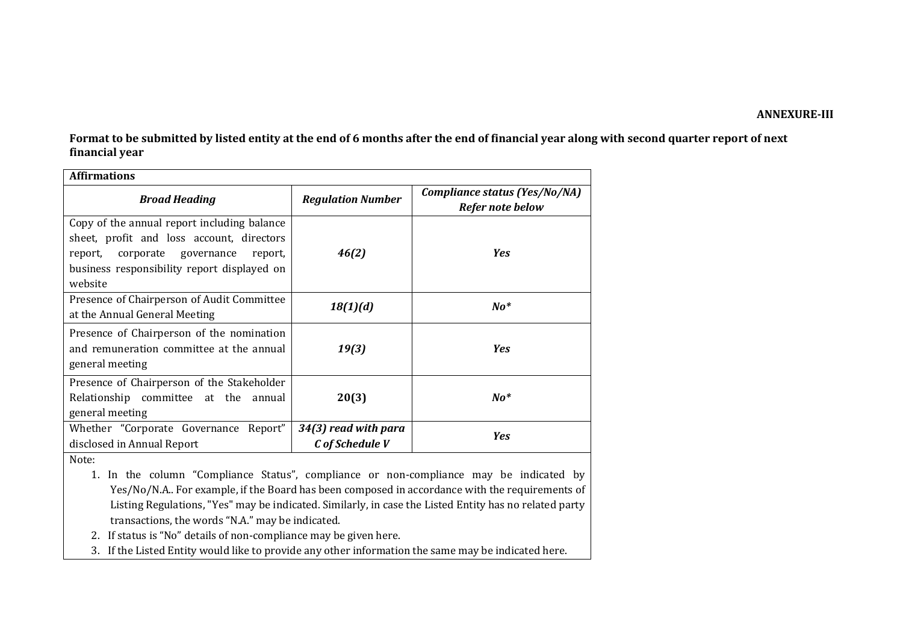## **ANNEXURE-III**

**Format to be submitted by listed entity at the end of 6 months after the end of financial year along with second quarter report of next financial year**

| <b>Affirmations</b>                                                                                                                                                                              |                                         |                                                   |  |  |  |  |
|--------------------------------------------------------------------------------------------------------------------------------------------------------------------------------------------------|-----------------------------------------|---------------------------------------------------|--|--|--|--|
| <b>Broad Heading</b>                                                                                                                                                                             | <b>Regulation Number</b>                | Compliance status (Yes/No/NA)<br>Refer note below |  |  |  |  |
| Copy of the annual report including balance<br>sheet, profit and loss account, directors<br>corporate governance<br>report,<br>report,<br>business responsibility report displayed on<br>website | 46(2)                                   | <b>Yes</b>                                        |  |  |  |  |
| Presence of Chairperson of Audit Committee<br>at the Annual General Meeting                                                                                                                      | 18(1)(d)                                | $\bm{No^*}$                                       |  |  |  |  |
| Presence of Chairperson of the nomination<br>and remuneration committee at the annual<br>general meeting                                                                                         | 19(3)                                   | Yes                                               |  |  |  |  |
| Presence of Chairperson of the Stakeholder<br>Relationship committee at the annual<br>general meeting                                                                                            | 20(3)                                   | $\bm{No^*}$                                       |  |  |  |  |
| Whether "Corporate Governance Report"<br>disclosed in Annual Report                                                                                                                              | 34(3) read with para<br>C of Schedule V | <b>Yes</b>                                        |  |  |  |  |
| $N = 1$                                                                                                                                                                                          |                                         |                                                   |  |  |  |  |

Note:

1. In the column "Compliance Status", compliance or non-compliance may be indicated by Yes/No/N.A.. For example, if the Board has been composed in accordance with the requirements of Listing Regulations, "Yes" may be indicated. Similarly, in case the Listed Entity has no related party transactions, the words "N.A." may be indicated.

2. If status is "No" details of non-compliance may be given here.

3. If the Listed Entity would like to provide any other information the same may be indicated here.